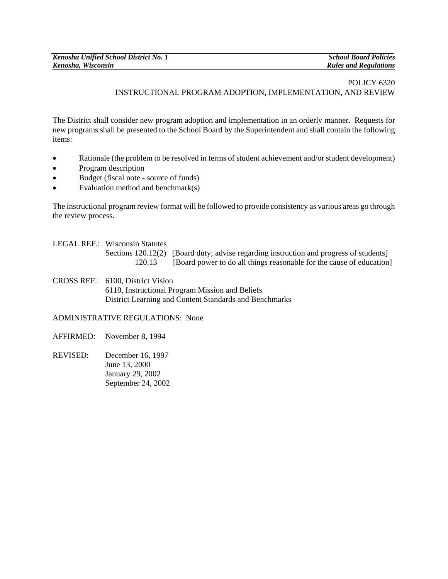## POLICY 6320 INSTRUCTIONAL PROGRAM ADOPTION**,** IMPLEMENTATION**,** AND REVIEW

The District shall consider new program adoption and implementation in an orderly manner. Requests for new programs shall be presented to the School Board by the Superintendent and shall contain the following items:

- Rationale (the problem to be resolved in terms of student achievement and/or student development)
- Program description
- Budget (fiscal note source of funds)
- Evaluation method and benchmark(s)

The instructional program review format will be followed to provide consistency as various areas go through the review process.

LEGAL REF.: Wisconsin Statutes

Sections 120.12(2) [Board duty; advise regarding instruction and progress of students] 120.13 [Board power to do all things reasonable for the cause of education]

CROSS REF.: 6100, District Vision 6110, Instructional Program Mission and Beliefs District Learning and Content Standards and Benchmarks

ADMINISTRATIVE REGULATIONS: None

- AFFIRMED: November 8, 1994
- REVISED: December 16, 1997 June 13, 2000 January 29, 2002 September 24, 2002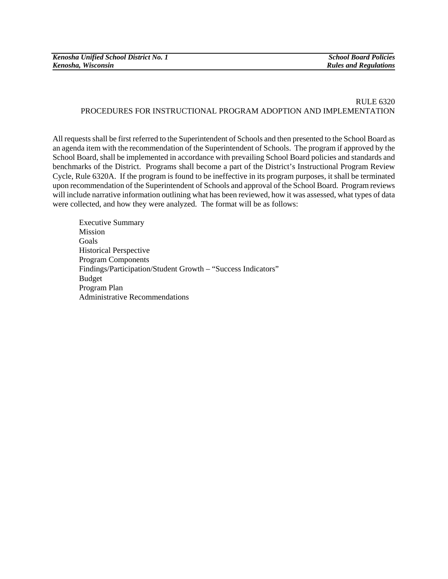## RULE 6320 PROCEDURES FOR INSTRUCTIONAL PROGRAM ADOPTION AND IMPLEMENTATION

All requests shall be first referred to the Superintendent of Schools and then presented to the School Board as an agenda item with the recommendation of the Superintendent of Schools. The program if approved by the School Board, shall be implemented in accordance with prevailing School Board policies and standards and benchmarks of the District. Programs shall become a part of the District's Instructional Program Review Cycle, Rule 6320A. If the program is found to be ineffective in its program purposes, it shall be terminated upon recommendation of the Superintendent of Schools and approval of the School Board. Program reviews will include narrative information outlining what has been reviewed, how it was assessed, what types of data were collected, and how they were analyzed. The format will be as follows:

Executive Summary **Mission** Goals Historical Perspective Program Components Findings/Participation/Student Growth – "Success Indicators" Budget Program Plan Administrative Recommendations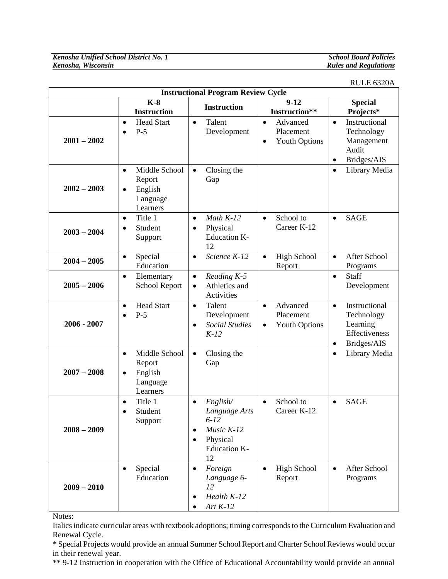## *Rules and Regulations*

RULE 6320A

| <b>Instructional Program Review Cycle</b> |                                                                                      |                                                                                                        |                                                                         |                                                                                                   |
|-------------------------------------------|--------------------------------------------------------------------------------------|--------------------------------------------------------------------------------------------------------|-------------------------------------------------------------------------|---------------------------------------------------------------------------------------------------|
|                                           | $K-8$<br><b>Instruction</b>                                                          | <b>Instruction</b>                                                                                     | $9-12$<br>Instruction**                                                 | <b>Special</b><br>Projects*                                                                       |
| $2001 - 2002$                             | <b>Head Start</b><br>٠<br>$P-5$                                                      | Talent<br>$\bullet$<br>Development                                                                     | Advanced<br>$\bullet$<br>Placement<br><b>Youth Options</b><br>$\bullet$ | Instructional<br>$\bullet$<br>Technology<br>Management<br>Audit<br>Bridges/AIS<br>$\bullet$       |
| $2002 - 2003$                             | Middle School<br>$\bullet$<br>Report<br>English<br>$\bullet$<br>Language<br>Learners | Closing the<br>$\bullet$<br>Gap                                                                        |                                                                         | Library Media<br>$\bullet$                                                                        |
| $2003 - 2004$                             | Title 1<br>$\bullet$<br>Student<br>Support                                           | Math $K-12$<br>$\bullet$<br>Physical<br>$\bullet$<br><b>Education K-</b><br>12                         | School to<br>$\bullet$<br>Career K-12                                   | <b>SAGE</b><br>$\bullet$                                                                          |
| $2004 - 2005$                             | Special<br>$\bullet$<br>Education                                                    | Science K-12<br>$\bullet$                                                                              | <b>High School</b><br>$\bullet$<br>Report                               | <b>After School</b><br>$\bullet$<br>Programs                                                      |
| $2005 - 2006$                             | Elementary<br>$\bullet$<br>School Report                                             | Reading K-5<br>$\bullet$<br>Athletics and<br>$\bullet$<br>Activities                                   |                                                                         | Staff<br>$\bullet$<br>Development                                                                 |
| $2006 - 2007$                             | <b>Head Start</b><br>$\bullet$<br>$P-5$                                              | Talent<br>$\bullet$<br>Development<br><b>Social Studies</b><br>$\bullet$<br>$K-12$                     | Advanced<br>$\bullet$<br>Placement<br><b>Youth Options</b><br>$\bullet$ | Instructional<br>$\bullet$<br>Technology<br>Learning<br>Effectiveness<br>Bridges/AIS<br>$\bullet$ |
| $2007 - 2008$                             | Middle School<br>$\bullet$<br>Report<br>English<br>٠<br>Language<br>Learners         | Closing the<br>$\bullet$<br>Gap                                                                        |                                                                         | Library Media<br>$\bullet$                                                                        |
| $2008 - 2009$                             | Title 1<br>Student<br>Support                                                        | English/<br>٠<br>Language Arts<br>$6 - 12$<br>Music $K-12$<br>٠<br>Physical<br>٠<br>Education K-<br>12 | School to<br>$\bullet$<br>Career K-12                                   | <b>SAGE</b><br>$\bullet$                                                                          |
| $2009 - 2010$                             | Special<br>$\bullet$<br>Education                                                    | Foreign<br>$\bullet$<br>Language 6-<br>12<br>Health K-12<br>Art $K-12$                                 | <b>High School</b><br>$\bullet$<br>Report                               | After School<br>$\bullet$<br>Programs                                                             |

Notes:

Italics indicate curricular areas with textbook adoptions; timing corresponds to the Curriculum Evaluation and Renewal Cycle.

\* Special Projects would provide an annual Summer School Report and Charter School Reviews would occur in their renewal year.

\*\* 9-12 Instruction in cooperation with the Office of Educational Accountability would provide an annual